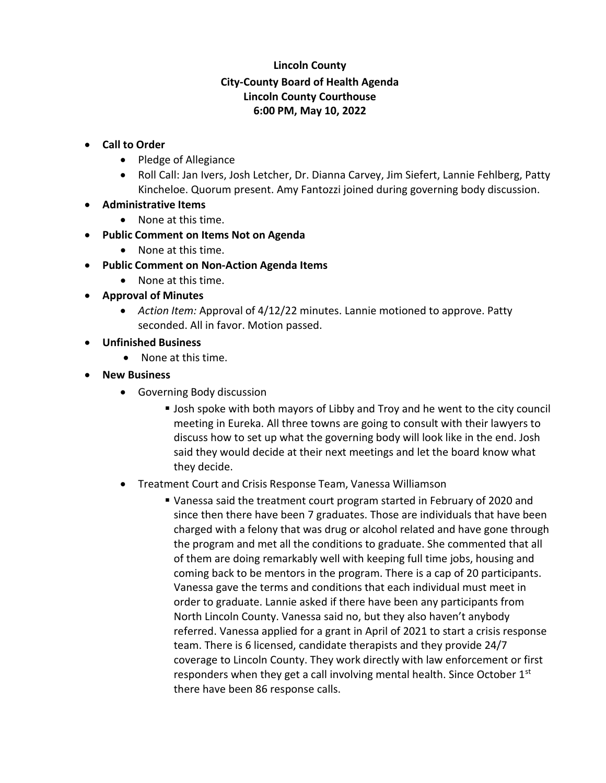## **Lincoln County City-County Board of Health Agenda Lincoln County Courthouse 6:00 PM, May 10, 2022**

- **Call to Order**
	- Pledge of Allegiance
	- Roll Call: Jan Ivers, Josh Letcher, Dr. Dianna Carvey, Jim Siefert, Lannie Fehlberg, Patty Kincheloe. Quorum present. Amy Fantozzi joined during governing body discussion.
- **Administrative Items**
	- None at this time.
- **Public Comment on Items Not on Agenda**
	- None at this time.
- **Public Comment on Non-Action Agenda Items**
	- None at this time.
- **Approval of Minutes**
	- *Action Item:* Approval of 4/12/22 minutes. Lannie motioned to approve. Patty seconded. All in favor. Motion passed.
- **Unfinished Business**
	- None at this time.
- **New Business**
	- Governing Body discussion
		- **.** Josh spoke with both mayors of Libby and Troy and he went to the city council meeting in Eureka. All three towns are going to consult with their lawyers to discuss how to set up what the governing body will look like in the end. Josh said they would decide at their next meetings and let the board know what they decide.
	- Treatment Court and Crisis Response Team, Vanessa Williamson
		- Vanessa said the treatment court program started in February of 2020 and since then there have been 7 graduates. Those are individuals that have been charged with a felony that was drug or alcohol related and have gone through the program and met all the conditions to graduate. She commented that all of them are doing remarkably well with keeping full time jobs, housing and coming back to be mentors in the program. There is a cap of 20 participants. Vanessa gave the terms and conditions that each individual must meet in order to graduate. Lannie asked if there have been any participants from North Lincoln County. Vanessa said no, but they also haven't anybody referred. Vanessa applied for a grant in April of 2021 to start a crisis response team. There is 6 licensed, candidate therapists and they provide 24/7 coverage to Lincoln County. They work directly with law enforcement or first responders when they get a call involving mental health. Since October 1<sup>st</sup> there have been 86 response calls.